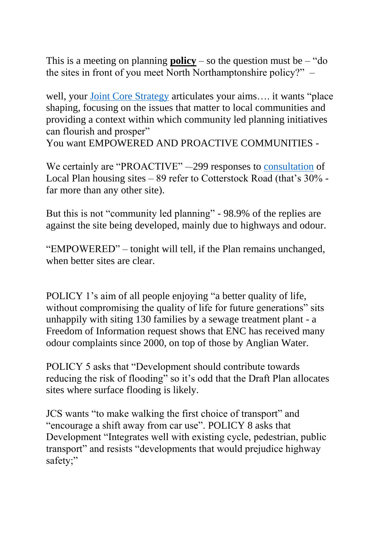This is a meeting on planning **policy** – so the question must be – "do" the sites in front of you meet North Northamptonshire policy?" –

well, your [Joint Core Strategy](http://www.nnjpu.org.uk/publications/docdetail.asp?docid=1573) articulates your aims…. it wants "place shaping, focusing on the issues that matter to local communities and providing a context within which community led planning initiatives can flourish and prosper"

You want EMPOWERED AND PROACTIVE COMMUNITIES -

We certainly are "PROACTIVE" –299 responses to [consultation](https://www.east-northamptonshire.gov.uk/downloads/file/11119/representations_received_during_draft_local_plan_consultations) of Local Plan housing sites – 89 refer to Cotterstock Road (that's 30% far more than any other site).

But this is not "community led planning" - 98.9% of the replies are against the site being developed, mainly due to highways and odour.

"EMPOWERED" – tonight will tell, if the Plan remains unchanged, when better sites are clear.

POLICY 1's aim of all people enjoying "a better quality of life, without compromising the quality of life for future generations" sits unhappily with siting 130 families by a sewage treatment plant - a Freedom of Information request shows that ENC has received many odour complaints since 2000, on top of those by Anglian Water.

POLICY 5 asks that "Development should contribute towards reducing the risk of flooding" so it's odd that the Draft Plan allocates sites where surface flooding is likely.

JCS wants "to make walking the first choice of transport" and "encourage a shift away from car use". POLICY 8 asks that Development "Integrates well with existing cycle, pedestrian, public transport" and resists "developments that would prejudice highway safety;"